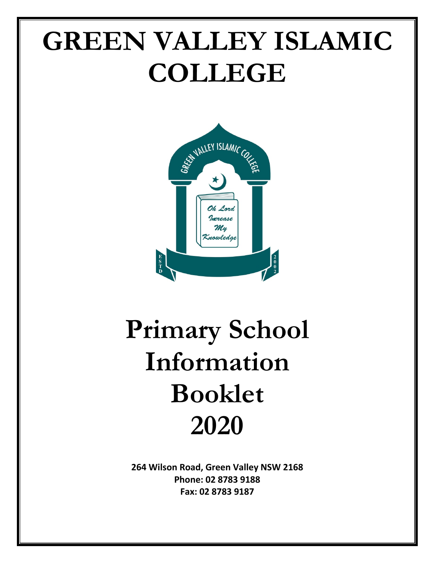# **GREEN VALLEY ISLAMIC COLLEGE**



# **Primary School Information Booklet 2020**

**264 Wilson Road, Green Valley NSW 2168 Phone: 02 8783 9188 Fax: 02 8783 9187**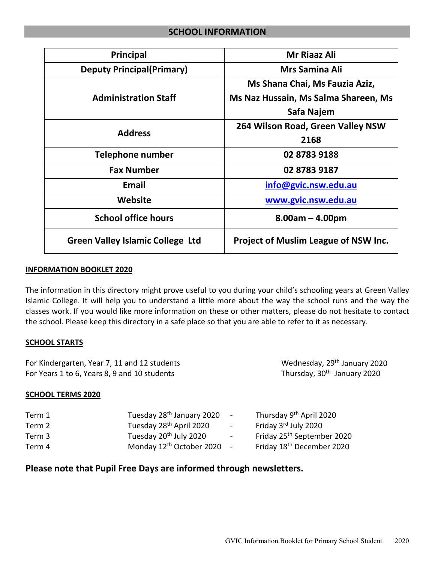# **SCHOOL INFORMATION**

| <b>Principal</b>                        | <b>Mr Riaaz Ali</b>                  |  |  |
|-----------------------------------------|--------------------------------------|--|--|
| <b>Deputy Principal(Primary)</b>        | <b>Mrs Samina Ali</b>                |  |  |
|                                         | Ms Shana Chai, Ms Fauzia Aziz,       |  |  |
| <b>Administration Staff</b>             | Ms Naz Hussain, Ms Salma Shareen, Ms |  |  |
|                                         | Safa Najem                           |  |  |
| <b>Address</b>                          | 264 Wilson Road, Green Valley NSW    |  |  |
|                                         | 2168                                 |  |  |
| <b>Telephone number</b>                 | 02 8783 9188                         |  |  |
| <b>Fax Number</b>                       | 02 8783 9187                         |  |  |
| <b>Email</b>                            | info@gvic.nsw.edu.au                 |  |  |
| <b>Website</b>                          | www.gvic.nsw.edu.au                  |  |  |
| <b>School office hours</b>              | $8.00am - 4.00pm$                    |  |  |
| <b>Green Valley Islamic College Ltd</b> | Project of Muslim League of NSW Inc. |  |  |

#### **INFORMATION BOOKLET 2020**

The information in this directory might prove useful to you during your child's schooling years at Green Valley Islamic College. It will help you to understand a little more about the way the school runs and the way the classes work. If you would like more information on these or other matters, please do not hesitate to contact the school. Please keep this directory in a safe place so that you are able to refer to it as necessary.

## **SCHOOL STARTS**

| Wednesday, 29 <sup>th</sup> January 2020 |
|------------------------------------------|
| Thursday, 30 <sup>th</sup> January 2020  |
|                                          |

## **SCHOOL TERMS 2020**

| Term 1 | Tuesday 28 <sup>th</sup> January 2020 | $\sim$ | Thursday 9th April 2020                |
|--------|---------------------------------------|--------|----------------------------------------|
| Term 2 | Tuesday 28 <sup>th</sup> April 2020   | $\sim$ | Friday 3rd July 2020                   |
| Term 3 | Tuesday 20 <sup>th</sup> July 2020    | $\sim$ | Friday 25 <sup>th</sup> September 2020 |
| Term 4 | Monday 12 <sup>th</sup> October 2020  |        | Friday 18 <sup>th</sup> December 2020  |

# **Please note that Pupil Free Days are informed through newsletters.**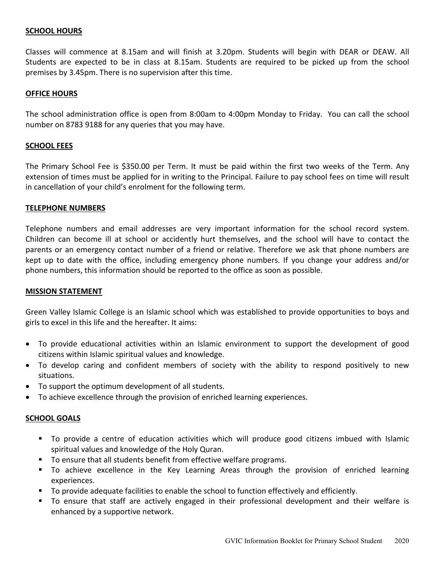## **SCHOOL HOURS**

Classes will commence at 8.15am and will finish at 3.20pm. Students will begin with DEAR or DEAW. All Students are expected to be in class at 8.15am. Students are required to be picked up from the school premises by 3.45pm. There is no supervision after this time.

#### **OFFICE HOURS**

The school administration office is open from 8:00am to 4:00pm Monday to Friday. You can call the school number on 8783 9188 for any queries that you may have.

#### **SCHOOL FEES**

The Primary School Fee is \$350.00 per Term. It must be paid within the first two weeks of the Term. Any extension of times must be applied for in writing to the Principal. Failure to pay school fees on time will result in cancellation of your child's enrolment for the following term.

#### **TELEPHONE NUMBERS**

Telephone numbers and email addresses are very important information for the school record system. Children can become ill at school or accidently hurt themselves, and the school will have to contact the parents or an emergency contact number of a friend or relative. Therefore we ask that phone numbers are kept up to date with the office, including emergency phone numbers. If you change your address and/or phone numbers, this information should be reported to the office as soon as possible.

#### **MISSION STATEMENT**

Green Valley Islamic College is an Islamic school which was established to provide opportunities to boys and girls to excel in this life and the hereafter. It aims:

- To provide educational activities within an Islamic environment to support the development of good citizens within Islamic spiritual values and knowledge.
- To develop caring and confident members of society with the ability to respond positively to new situations.
- To support the optimum development of all students.
- To achieve excellence through the provision of enriched learning experiences.

## **SCHOOL GOALS**

- To provide a centre of education activities which will produce good citizens imbued with Islamic spiritual values and knowledge of the Holy Quran.
- To ensure that all students benefit from effective welfare programs.
- To achieve excellence in the Key Learning Areas through the provision of enriched learning experiences.
- To provide adequate facilities to enable the school to function effectively and efficiently.
- To ensure that staff are actively engaged in their professional development and their welfare is enhanced by a supportive network.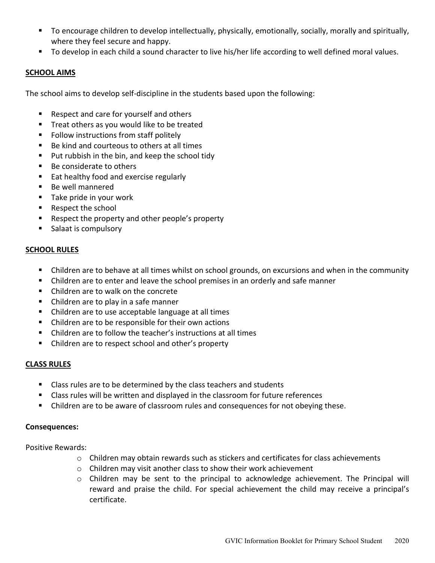- To encourage children to develop intellectually, physically, emotionally, socially, morally and spiritually, where they feel secure and happy.
- To develop in each child a sound character to live his/her life according to well defined moral values.

## **SCHOOL AIMS**

The school aims to develop self-discipline in the students based upon the following:

- Respect and care for yourself and others
- **Treat others as you would like to be treated**
- **F** Follow instructions from staff politely
- Be kind and courteous to others at all times
- Put rubbish in the bin, and keep the school tidy
- Be considerate to others
- Eat healthy food and exercise regularly
- Be well mannered
- **Take pride in your work**
- Respect the school
- Respect the property and other people's property
- **Salaat is compulsory**

## **SCHOOL RULES**

- Children are to behave at all times whilst on school grounds, on excursions and when in the community
- Children are to enter and leave the school premises in an orderly and safe manner
- Children are to walk on the concrete
- Children are to play in a safe manner
- Children are to use acceptable language at all times
- Children are to be responsible for their own actions
- Children are to follow the teacher's instructions at all times
- Children are to respect school and other's property

## **CLASS RULES**

- Class rules are to be determined by the class teachers and students
- Class rules will be written and displayed in the classroom for future references
- Children are to be aware of classroom rules and consequences for not obeying these.

## **Consequences:**

Positive Rewards:

- $\circ$  Children may obtain rewards such as stickers and certificates for class achievements
- o Children may visit another class to show their work achievement
- $\circ$  Children may be sent to the principal to acknowledge achievement. The Principal will reward and praise the child. For special achievement the child may receive a principal's certificate.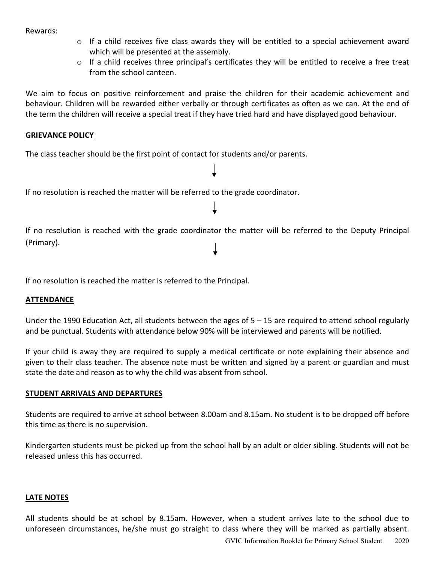Rewards:

- $\circ$  If a child receives five class awards they will be entitled to a special achievement award which will be presented at the assembly.
- o If a child receives three principal's certificates they will be entitled to receive a free treat from the school canteen.

We aim to focus on positive reinforcement and praise the children for their academic achievement and behaviour. Children will be rewarded either verbally or through certificates as often as we can. At the end of the term the children will receive a special treat if they have tried hard and have displayed good behaviour.

#### **GRIEVANCE POLICY**

The class teacher should be the first point of contact for students and/or parents.

If no resolution is reached the matter will be referred to the grade coordinator.

If no resolution is reached with the grade coordinator the matter will be referred to the Deputy Principal (Primary).

If no resolution is reached the matter is referred to the Principal.

## **ATTENDANCE**

Under the 1990 Education Act, all students between the ages of  $5 - 15$  are required to attend school regularly and be punctual. Students with attendance below 90% will be interviewed and parents will be notified.

If your child is away they are required to supply a medical certificate or note explaining their absence and given to their class teacher. The absence note must be written and signed by a parent or guardian and must state the date and reason as to why the child was absent from school.

## **STUDENT ARRIVALS AND DEPARTURES**

Students are required to arrive at school between 8.00am and 8.15am. No student is to be dropped off before this time as there is no supervision.

Kindergarten students must be picked up from the school hall by an adult or older sibling. Students will not be released unless this has occurred.

## **LATE NOTES**

All students should be at school by 8.15am. However, when a student arrives late to the school due to unforeseen circumstances, he/she must go straight to class where they will be marked as partially absent.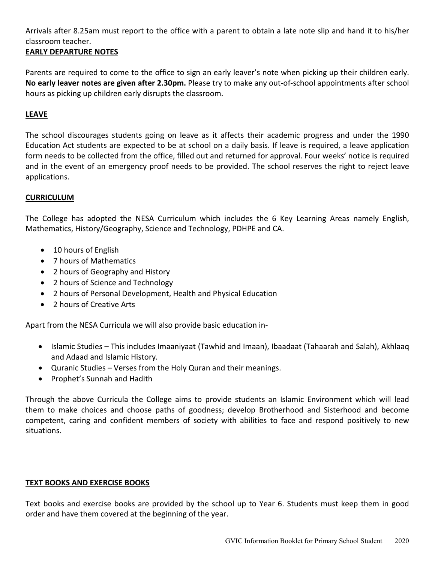Arrivals after 8.25am must report to the office with a parent to obtain a late note slip and hand it to his/her classroom teacher.

# **EARLY DEPARTURE NOTES**

Parents are required to come to the office to sign an early leaver's note when picking up their children early. **No early leaver notes are given after 2.30pm.** Please try to make any out-of-school appointments after school hours as picking up children early disrupts the classroom.

# **LEAVE**

The school discourages students going on leave as it affects their academic progress and under the 1990 Education Act students are expected to be at school on a daily basis. If leave is required, a leave application form needs to be collected from the office, filled out and returned for approval. Four weeks' notice is required and in the event of an emergency proof needs to be provided. The school reserves the right to reject leave applications.

# **CURRICULUM**

The College has adopted the NESA Curriculum which includes the 6 Key Learning Areas namely English, Mathematics, History/Geography, Science and Technology, PDHPE and CA.

- 10 hours of English
- 7 hours of Mathematics
- 2 hours of Geography and History
- 2 hours of Science and Technology
- 2 hours of Personal Development, Health and Physical Education
- 2 hours of Creative Arts

Apart from the NESA Curricula we will also provide basic education in-

- Islamic Studies This includes Imaaniyaat (Tawhid and Imaan), Ibaadaat (Tahaarah and Salah), Akhlaaq and Adaad and Islamic History.
- Quranic Studies Verses from the Holy Quran and their meanings.
- Prophet's Sunnah and Hadith

Through the above Curricula the College aims to provide students an Islamic Environment which will lead them to make choices and choose paths of goodness; develop Brotherhood and Sisterhood and become competent, caring and confident members of society with abilities to face and respond positively to new situations.

# **TEXT BOOKS AND EXERCISE BOOKS**

Text books and exercise books are provided by the school up to Year 6. Students must keep them in good order and have them covered at the beginning of the year.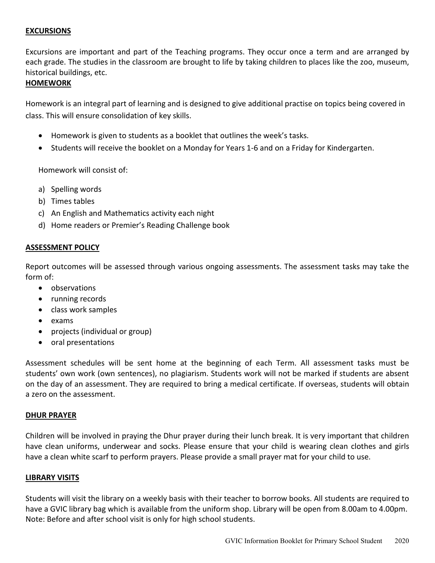## **EXCURSIONS**

Excursions are important and part of the Teaching programs. They occur once a term and are arranged by each grade. The studies in the classroom are brought to life by taking children to places like the zoo, museum, historical buildings, etc.

#### **HOMEWORK**

Homework is an integral part of learning and is designed to give additional practise on topics being covered in class. This will ensure consolidation of key skills.

- Homework is given to students as a booklet that outlines the week's tasks.
- Students will receive the booklet on a Monday for Years 1-6 and on a Friday for Kindergarten.

Homework will consist of:

- a) Spelling words
- b) Times tables
- c) An English and Mathematics activity each night
- d) Home readers or Premier's Reading Challenge book

#### **ASSESSMENT POLICY**

Report outcomes will be assessed through various ongoing assessments. The assessment tasks may take the form of:

- observations
- running records
- class work samples
- exams
- projects (individual or group)
- oral presentations

Assessment schedules will be sent home at the beginning of each Term. All assessment tasks must be students' own work (own sentences), no plagiarism. Students work will not be marked if students are absent on the day of an assessment. They are required to bring a medical certificate. If overseas, students will obtain a zero on the assessment.

#### **DHUR PRAYER**

Children will be involved in praying the Dhur prayer during their lunch break. It is very important that children have clean uniforms, underwear and socks. Please ensure that your child is wearing clean clothes and girls have a clean white scarf to perform prayers. Please provide a small prayer mat for your child to use.

#### **LIBRARY VISITS**

Students will visit the library on a weekly basis with their teacher to borrow books. All students are required to have a GVIC library bag which is available from the uniform shop. Library will be open from 8.00am to 4.00pm. Note: Before and after school visit is only for high school students.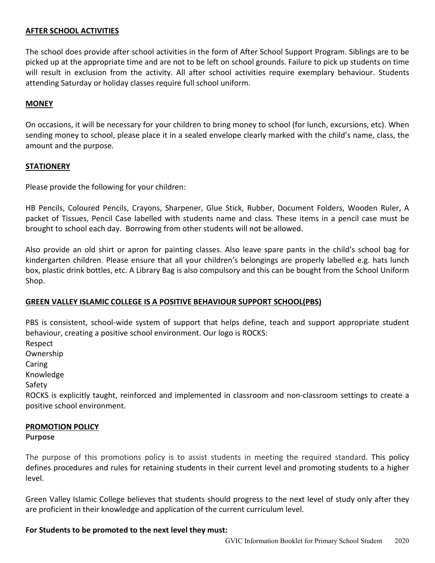## **AFTER SCHOOL ACTIVITIES**

The school does provide after school activities in the form of After School Support Program. Siblings are to be picked up at the appropriate time and are not to be left on school grounds. Failure to pick up students on time will result in exclusion from the activity. All after school activities require exemplary behaviour. Students attending Saturday or holiday classes require full school uniform.

#### **MONEY**

On occasions, it will be necessary for your children to bring money to school (for lunch, excursions, etc). When sending money to school, please place it in a sealed envelope clearly marked with the child's name, class, the amount and the purpose.

#### **STATIONERY**

Please provide the following for your children:

HB Pencils, Coloured Pencils, Crayons, Sharpener, Glue Stick, Rubber, Document Folders, Wooden Ruler, A packet of Tissues, Pencil Case labelled with students name and class. These items in a pencil case must be brought to school each day. Borrowing from other students will not be allowed.

Also provide an old shirt or apron for painting classes. Also leave spare pants in the child's school bag for kindergarten children. Please ensure that all your children's belongings are properly labelled e.g. hats lunch box, plastic drink bottles, etc. A Library Bag is also compulsory and this can be bought from the School Uniform Shop.

## **GREEN VALLEY ISLAMIC COLLEGE IS A POSITIVE BEHAVIOUR SUPPORT SCHOOL(PBS)**

PBS is consistent, school-wide system of support that helps define, teach and support appropriate student behaviour, creating a positive school environment. Our logo is ROCKS:

Respect

Ownership

Caring

Knowledge

Safety

ROCKS is explicitly taught, reinforced and implemented in classroom and non-classroom settings to create a positive school environment.

#### **PROMOTION POLICY**

**Purpose**

The purpose of this promotions policy is to assist students in meeting the required standard. This policy defines procedures and rules for retaining students in their current level and promoting students to a higher level.

Green Valley Islamic College believes that students should progress to the next level of study only after they are proficient in their knowledge and application of the current curriculum level.

#### **For Students to be promoted to the next level they must:**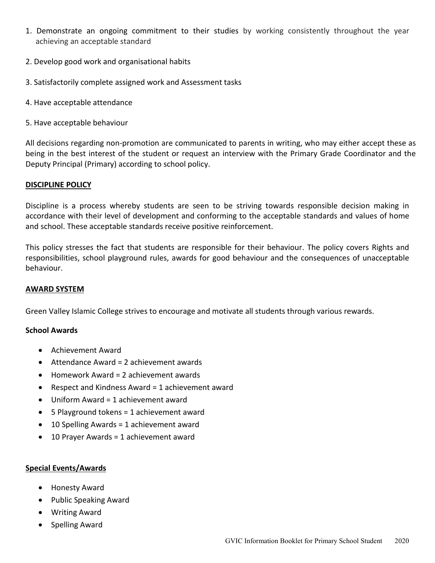- 1. Demonstrate an ongoing commitment to their studies by working consistently throughout the year achieving an acceptable standard
- 2. Develop good work and organisational habits
- 3. Satisfactorily complete assigned work and Assessment tasks
- 4. Have acceptable attendance
- 5. Have acceptable behaviour

All decisions regarding non-promotion are communicated to parents in writing, who may either accept these as being in the best interest of the student or request an interview with the Primary Grade Coordinator and the Deputy Principal (Primary) according to school policy.

#### **DISCIPLINE POLICY**

Discipline is a process whereby students are seen to be striving towards responsible decision making in accordance with their level of development and conforming to the acceptable standards and values of home and school. These acceptable standards receive positive reinforcement.

This policy stresses the fact that students are responsible for their behaviour. The policy covers Rights and responsibilities, school playground rules, awards for good behaviour and the consequences of unacceptable behaviour.

## **AWARD SYSTEM**

Green Valley Islamic College strives to encourage and motivate all students through various rewards.

#### **School Awards**

- Achievement Award
- Attendance Award = 2 achievement awards
- Homework Award = 2 achievement awards
- Respect and Kindness Award = 1 achievement award
- Uniform Award = 1 achievement award
- 5 Playground tokens = 1 achievement award
- 10 Spelling Awards = 1 achievement award
- 10 Prayer Awards = 1 achievement award

#### **Special Events/Awards**

- Honesty Award
- Public Speaking Award
- Writing Award
- Spelling Award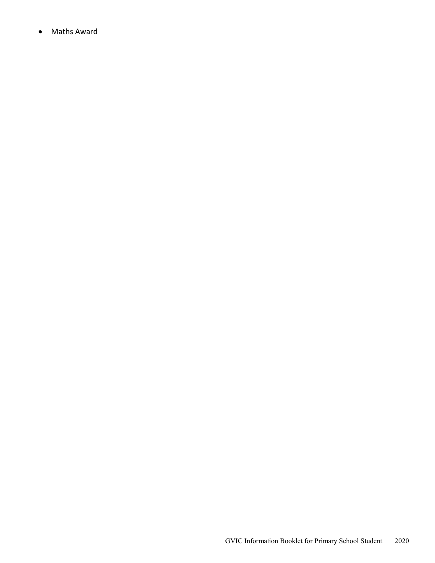• Maths Award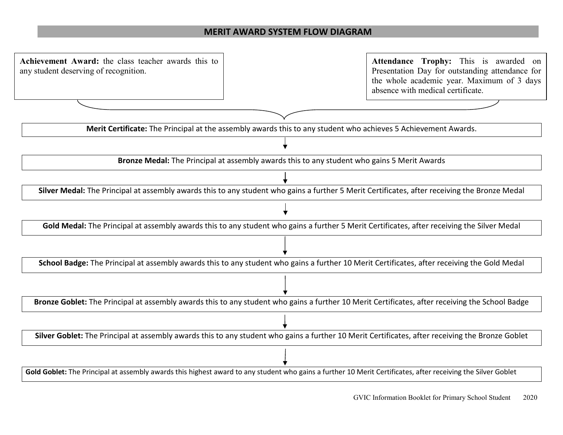## **MERIT AWARD SYSTEM FLOW DIAGRAM**

• **Achievement Award:** the class teacher awards this to • any student deserving of recognition. Gold Goblet: The Principal at assembly awards this highest award to any student who gains a further 10 Merit Certificates, after receiving the Silver Goblet **Merit Certificate:** The Principal at the assembly awards this to any student who achieves 5 Achievement Awards. **Bronze Medal:** The Principal at assembly awards this to any student who gains 5 Merit Awards **Silver Medal:** The Principal at assembly awards this to any student who gains a further 5 Merit Certificates, after receiving the Bronze Medal **Gold Medal:** The Principal at assembly awards this to any student who gains a further 5 Merit Certificates, after receiving the Silver Medal **School Badge:** The Principal at assembly awards this to any student who gains a further 10 Merit Certificates, after receiving the Gold Medal **Bronze Goblet:** The Principal at assembly awards this to any student who gains a further 10 Merit Certificates, after receiving the School Badge **Silver Goblet:** The Principal at assembly awards this to any student who gains a further 10 Merit Certificates, after receiving the Bronze Goblet **Attendance Trophy:** This is awarded on Presentation Day for outstanding attendance for the whole academic year. Maximum of 3 days absence with medical certificate.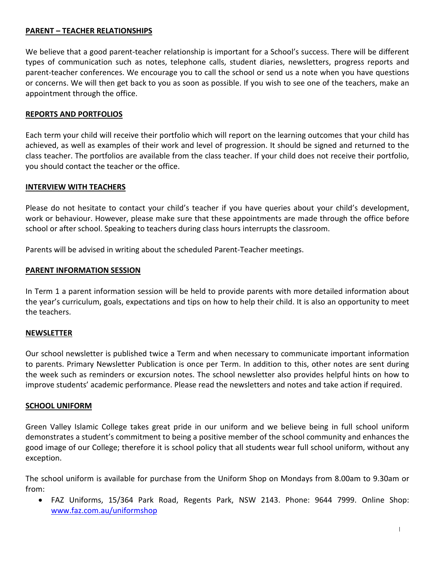# **PARENT – TEACHER RELATIONSHIPS**

We believe that a good parent-teacher relationship is important for a School's success. There will be different types of communication such as notes, telephone calls, student diaries, newsletters, progress reports and parent-teacher conferences. We encourage you to call the school or send us a note when you have questions or concerns. We will then get back to you as soon as possible. If you wish to see one of the teachers, make an appointment through the office.

#### **REPORTS AND PORTFOLIOS**

Each term your child will receive their portfolio which will report on the learning outcomes that your child has achieved, as well as examples of their work and level of progression. It should be signed and returned to the class teacher. The portfolios are available from the class teacher. If your child does not receive their portfolio, you should contact the teacher or the office.

#### **INTERVIEW WITH TEACHERS**

Please do not hesitate to contact your child's teacher if you have queries about your child's development, work or behaviour. However, please make sure that these appointments are made through the office before school or after school. Speaking to teachers during class hours interrupts the classroom.

Parents will be advised in writing about the scheduled Parent-Teacher meetings.

#### **PARENT INFORMATION SESSION**

In Term 1 a parent information session will be held to provide parents with more detailed information about the year's curriculum, goals, expectations and tips on how to help their child. It is also an opportunity to meet the teachers.

## **NEWSLETTER**

Our school newsletter is published twice a Term and when necessary to communicate important information to parents. Primary Newsletter Publication is once per Term. In addition to this, other notes are sent during the week such as reminders or excursion notes. The school newsletter also provides helpful hints on how to improve students' academic performance. Please read the newsletters and notes and take action if required.

#### **SCHOOL UNIFORM**

Green Valley Islamic College takes great pride in our uniform and we believe being in full school uniform demonstrates a student's commitment to being a positive member of the school community and enhances the good image of our College; therefore it is school policy that all students wear full school uniform, without any exception.

The school uniform is available for purchase from the Uniform Shop on Mondays from 8.00am to 9.30am or from:

• FAZ Uniforms, 15/364 Park Road, Regents Park, NSW 2143. Phone: 9644 7999. Online Shop: [www.faz.com.au/uniformshop](http://www.faz.com.au/uniformshop)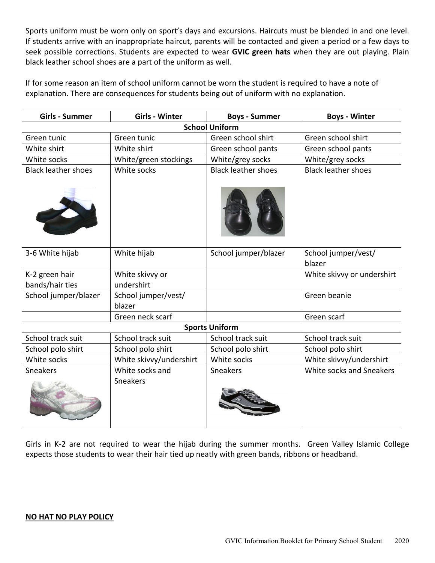Sports uniform must be worn only on sport's days and excursions. Haircuts must be blended in and one level. If students arrive with an inappropriate haircut, parents will be contacted and given a period or a few days to seek possible corrections. Students are expected to wear **GVIC green hats** when they are out playing. Plain black leather school shoes are a part of the uniform as well.

If for some reason an item of school uniform cannot be worn the student is required to have a note of explanation. There are consequences for students being out of uniform with no explanation.

| <b>Girls - Summer</b>             | <b>Girls - Winter</b>         | <b>Boys - Summer</b>       | <b>Boys - Winter</b>          |  |  |  |
|-----------------------------------|-------------------------------|----------------------------|-------------------------------|--|--|--|
| <b>School Uniform</b>             |                               |                            |                               |  |  |  |
| Green tunic                       | Green tunic                   | Green school shirt         | Green school shirt            |  |  |  |
| White shirt                       | White shirt                   | Green school pants         | Green school pants            |  |  |  |
| White socks                       | White/green stockings         | White/grey socks           | White/grey socks              |  |  |  |
| <b>Black leather shoes</b>        | White socks                   | <b>Black leather shoes</b> | <b>Black leather shoes</b>    |  |  |  |
|                                   |                               |                            |                               |  |  |  |
| 3-6 White hijab                   | White hijab                   | School jumper/blazer       | School jumper/vest/<br>blazer |  |  |  |
| K-2 green hair<br>bands/hair ties | White skivvy or<br>undershirt |                            | White skivvy or undershirt    |  |  |  |
|                                   |                               |                            |                               |  |  |  |
| School jumper/blazer              | School jumper/vest/<br>blazer |                            | Green beanie                  |  |  |  |
|                                   | Green neck scarf              |                            | Green scarf                   |  |  |  |
| <b>Sports Uniform</b>             |                               |                            |                               |  |  |  |
| School track suit                 | School track suit             | School track suit          | School track suit             |  |  |  |
| School polo shirt                 | School polo shirt             | School polo shirt          | School polo shirt             |  |  |  |
| White socks                       | White skivvy/undershirt       | White socks                | White skivvy/undershirt       |  |  |  |
| Sneakers                          | White socks and               | Sneakers                   | White socks and Sneakers      |  |  |  |
|                                   | <b>Sneakers</b>               |                            |                               |  |  |  |

Girls in K-2 are not required to wear the hijab during the summer months. Green Valley Islamic College expects those students to wear their hair tied up neatly with green bands, ribbons or headband.

#### **NO HAT NO PLAY POLICY**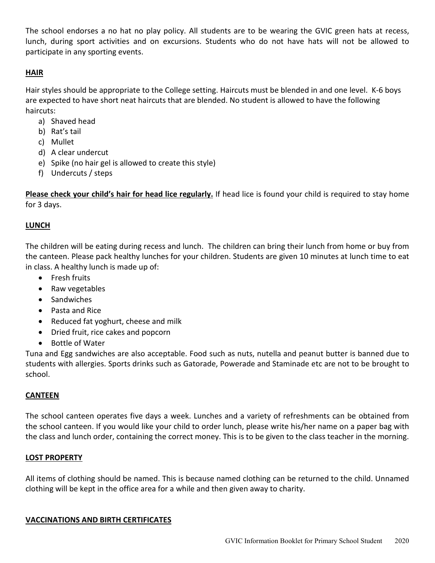The school endorses a no hat no play policy. All students are to be wearing the GVIC green hats at recess, lunch, during sport activities and on excursions. Students who do not have hats will not be allowed to participate in any sporting events.

# **HAIR**

Hair styles should be appropriate to the College setting. Haircuts must be blended in and one level. K-6 boys are expected to have short neat haircuts that are blended. No student is allowed to have the following haircuts:

- a) Shaved head
- b) Rat's tail
- c) Mullet
- d) A clear undercut
- e) Spike (no hair gel is allowed to create this style)
- f) Undercuts / steps

**Please check your child's hair for head lice regularly.** If head lice is found your child is required to stay home for 3 days.

# **LUNCH**

The children will be eating during recess and lunch. The children can bring their lunch from home or buy from the canteen. Please pack healthy lunches for your children. Students are given 10 minutes at lunch time to eat in class. A healthy lunch is made up of:

- Fresh fruits
- Raw vegetables
- Sandwiches
- Pasta and Rice
- Reduced fat yoghurt, cheese and milk
- Dried fruit, rice cakes and popcorn
- Bottle of Water

Tuna and Egg sandwiches are also acceptable. Food such as nuts, nutella and peanut butter is banned due to students with allergies. Sports drinks such as Gatorade, Powerade and Staminade etc are not to be brought to school.

# **CANTEEN**

The school canteen operates five days a week. Lunches and a variety of refreshments can be obtained from the school canteen. If you would like your child to order lunch, please write his/her name on a paper bag with the class and lunch order, containing the correct money. This is to be given to the class teacher in the morning.

# **LOST PROPERTY**

All items of clothing should be named. This is because named clothing can be returned to the child. Unnamed clothing will be kept in the office area for a while and then given away to charity.

# **VACCINATIONS AND BIRTH CERTIFICATES**